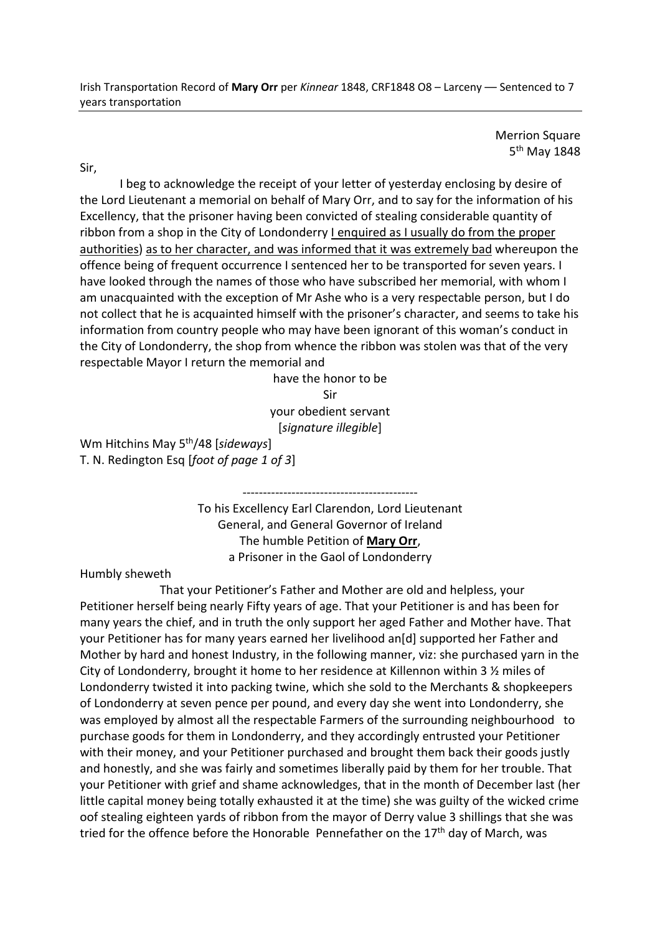Merrion Square 5<sup>th</sup> May 1848

Sir,

 I beg to acknowledge the receipt of your letter of yesterday enclosing by desire of the Lord Lieutenant a memorial on behalf of Mary Orr, and to say for the information of his Excellency, that the prisoner having been convicted of stealing considerable quantity of ribbon from a shop in the City of Londonderry I enquired as I usually do from the proper authorities) as to her character, and was informed that it was extremely bad whereupon the offence being of frequent occurrence I sentenced her to be transported for seven years. I have looked through the names of those who have subscribed her memorial, with whom I am unacquainted with the exception of Mr Ashe who is a very respectable person, but I do not collect that he is acquainted himself with the prisoner's character, and seems to take his information from country people who may have been ignorant of this woman's conduct in the City of Londonderry, the shop from whence the ribbon was stolen was that of the very respectable Mayor I return the memorial and

> have the honor to be Sir your obedient servant

[*signature illegible*]

Wm Hitchins May 5th/48 [*sideways*] T. N. Redington Esq [*foot of page 1 of 3*]

> ------------------------------------------- To his Excellency Earl Clarendon, Lord Lieutenant General, and General Governor of Ireland The humble Petition of **Mary Orr**, a Prisoner in the Gaol of Londonderry

Humbly sheweth

 That your Petitioner's Father and Mother are old and helpless, your Petitioner herself being nearly Fifty years of age. That your Petitioner is and has been for many years the chief, and in truth the only support her aged Father and Mother have. That your Petitioner has for many years earned her livelihood an[d] supported her Father and Mother by hard and honest Industry, in the following manner, viz: she purchased yarn in the City of Londonderry, brought it home to her residence at Killennon within 3  $\frac{1}{2}$  miles of Londonderry twisted it into packing twine, which she sold to the Merchants & shopkeepers of Londonderry at seven pence per pound, and every day she went into Londonderry, she was employed by almost all the respectable Farmers of the surrounding neighbourhood to purchase goods for them in Londonderry, and they accordingly entrusted your Petitioner with their money, and your Petitioner purchased and brought them back their goods justly and honestly, and she was fairly and sometimes liberally paid by them for her trouble. That your Petitioner with grief and shame acknowledges, that in the month of December last (her little capital money being totally exhausted it at the time) she was guilty of the wicked crime oof stealing eighteen yards of ribbon from the mayor of Derry value 3 shillings that she was tried for the offence before the Honorable Pennefather on the  $17<sup>th</sup>$  day of March, was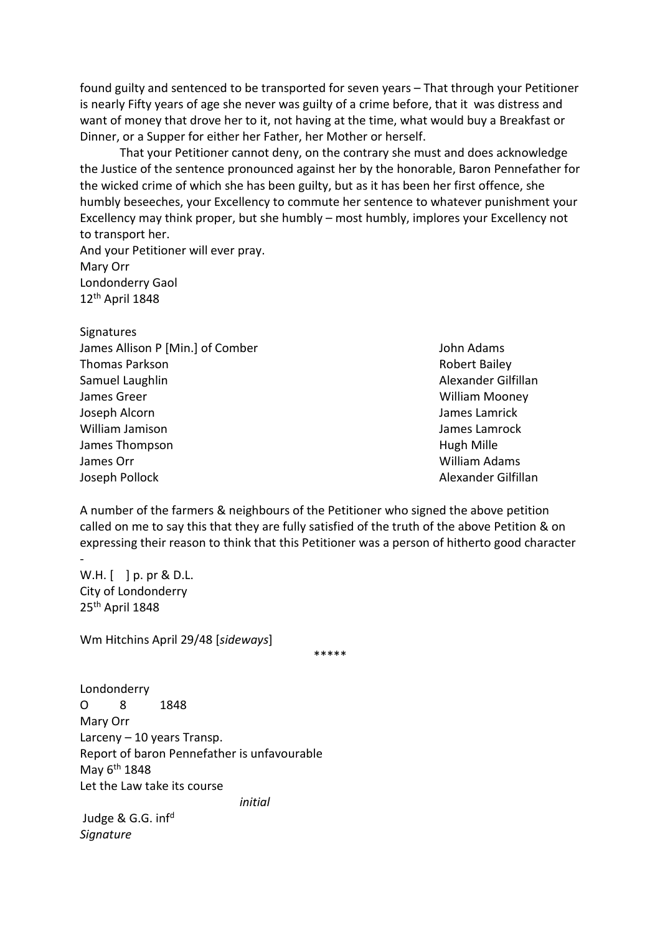found guilty and sentenced to be transported for seven years – That through your Petitioner is nearly Fifty years of age she never was guilty of a crime before, that it was distress and want of money that drove her to it, not having at the time, what would buy a Breakfast or Dinner, or a Supper for either her Father, her Mother or herself.

 That your Petitioner cannot deny, on the contrary she must and does acknowledge the Justice of the sentence pronounced against her by the honorable, Baron Pennefather for the wicked crime of which she has been guilty, but as it has been her first offence, she humbly beseeches, your Excellency to commute her sentence to whatever punishment your Excellency may think proper, but she humbly – most humbly, implores your Excellency not to transport her.

And your Petitioner will ever pray. Mary Orr Londonderry Gaol 12th April 1848

**Signatures** James Allison P [Min.] of Comber John Adams John Adams **Thomas Parkson Robert Bailey Robert Bailey** Samuel Laughlin Alexander Gilfillan James Greer William Mooney Joseph Alcorn James Lamrick William Jamison James Lamrock James Thompson **Hugh Mille** James Orr William Adams Joseph Pollock **Alexander Gilfillan** 

A number of the farmers & neighbours of the Petitioner who signed the above petition called on me to say this that they are fully satisfied of the truth of the above Petition & on expressing their reason to think that this Petitioner was a person of hitherto good character

W.H. [ ] p. pr & D.L. City of Londonderry 25th April 1848

-

Wm Hitchins April 29/48 [*sideways*]

\*\*\*\*\*

Londonderry O 8 1848 Mary Orr Larceny – 10 years Transp. Report of baron Pennefather is unfavourable May  $6<sup>th</sup>$  1848 Let the Law take its course

*initial* 

Judge & G.G. inf<sup>d</sup> *Signature*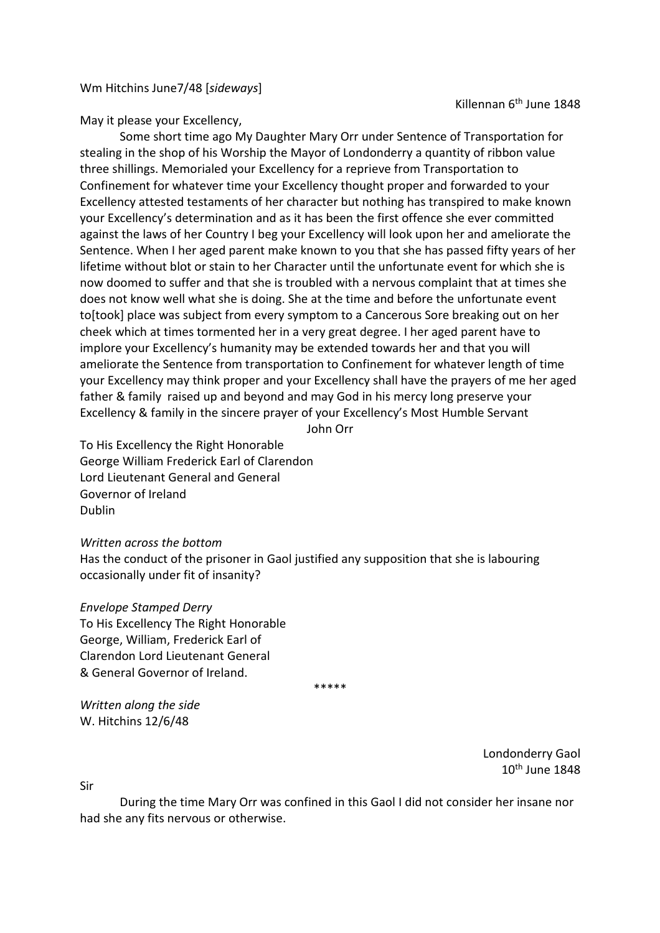Wm Hitchins June7/48 [*sideways*]

Killennan 6<sup>th</sup> June 1848

May it please your Excellency,

 Some short time ago My Daughter Mary Orr under Sentence of Transportation for stealing in the shop of his Worship the Mayor of Londonderry a quantity of ribbon value three shillings. Memorialed your Excellency for a reprieve from Transportation to Confinement for whatever time your Excellency thought proper and forwarded to your Excellency attested testaments of her character but nothing has transpired to make known your Excellency's determination and as it has been the first offence she ever committed against the laws of her Country I beg your Excellency will look upon her and ameliorate the Sentence. When I her aged parent make known to you that she has passed fifty years of her lifetime without blot or stain to her Character until the unfortunate event for which she is now doomed to suffer and that she is troubled with a nervous complaint that at times she does not know well what she is doing. She at the time and before the unfortunate event to[took] place was subject from every symptom to a Cancerous Sore breaking out on her cheek which at times tormented her in a very great degree. I her aged parent have to implore your Excellency's humanity may be extended towards her and that you will ameliorate the Sentence from transportation to Confinement for whatever length of time your Excellency may think proper and your Excellency shall have the prayers of me her aged father & family raised up and beyond and may God in his mercy long preserve your Excellency & family in the sincere prayer of your Excellency's Most Humble Servant

John Orr

To His Excellency the Right Honorable George William Frederick Earl of Clarendon Lord Lieutenant General and General Governor of Ireland Dublin

*Written across the bottom* 

Has the conduct of the prisoner in Gaol justified any supposition that she is labouring occasionally under fit of insanity?

## *Envelope Stamped Derry*

To His Excellency The Right Honorable George, William, Frederick Earl of Clarendon Lord Lieutenant General & General Governor of Ireland.

\*\*\*\*\*

*Written along the side*  W. Hitchins 12/6/48

> Londonderry Gaol 10th June 1848

Sir

 During the time Mary Orr was confined in this Gaol I did not consider her insane nor had she any fits nervous or otherwise.